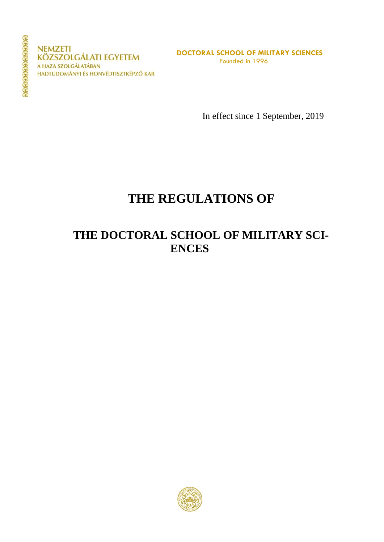**NEMZETI KÖZSZOLGÁLATI EGYETEM** A HAZA SZOLGÁLATÁBAN HADTUDOMÁNYI ÉS HONVÉDTISZTKÉPZŐ KAR

**DOCTORAL SCHOOL OF MILITARY SCIENCES** Founded in 1996

In effect since 1 September, 2019

# **THE REGULATIONS OF**

# **THE DOCTORAL SCHOOL OF MILITARY SCI-ENCES**

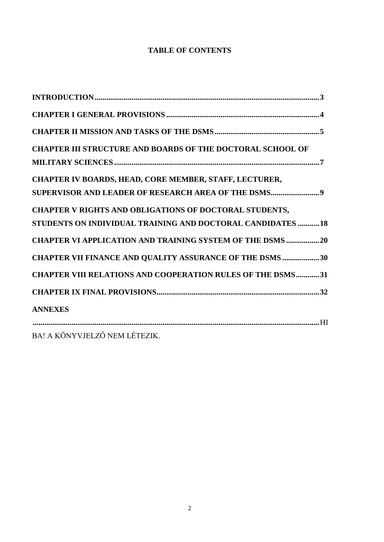### **TABLE OF CONTENTS**

| <b>CHAPTER III STRUCTURE AND BOARDS OF THE DOCTORAL SCHOOL OF</b>                                                     |
|-----------------------------------------------------------------------------------------------------------------------|
| CHAPTER IV BOARDS, HEAD, CORE MEMBER, STAFF, LECTURER,<br>SUPERVISOR AND LEADER OF RESEARCH AREA OF THE DSMS9         |
| CHAPTER V RIGHTS AND OBLIGATIONS OF DOCTORAL STUDENTS,<br>STUDENTS ON INDIVIDUAL TRAINING AND DOCTORAL CANDIDATES  18 |
| <b>CHAPTER VI APPLICATION AND TRAINING SYSTEM OF THE DSMS  20</b>                                                     |
| <b>CHAPTER VII FINANCE AND QUALITY ASSURANCE OF THE DSMS 30</b>                                                       |
| <b>CHAPTER VIII RELATIONS AND COOPERATION RULES OF THE DSMS31</b>                                                     |
|                                                                                                                       |
| <b>ANNEXES</b>                                                                                                        |
| BA! A KÖNYVJELZŐ NEM LÉTEZIK.                                                                                         |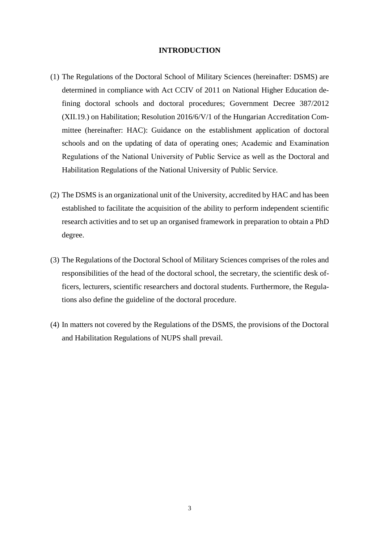### **INTRODUCTION**

- <span id="page-2-0"></span>(1) The Regulations of the Doctoral School of Military Sciences (hereinafter: DSMS) are determined in compliance with Act CCIV of 2011 on National Higher Education defining doctoral schools and doctoral procedures; Government Decree 387/2012 (XII.19.) on Habilitation; Resolution 2016/6/V/1 of the Hungarian Accreditation Committee (hereinafter: HAC): Guidance on the establishment application of doctoral schools and on the updating of data of operating ones; Academic and Examination Regulations of the National University of Public Service as well as the Doctoral and Habilitation Regulations of the National University of Public Service.
- (2) The DSMS is an organizational unit of the University, accredited by HAC and has been established to facilitate the acquisition of the ability to perform independent scientific research activities and to set up an organised framework in preparation to obtain a PhD degree.
- (3) The Regulations of the Doctoral School of Military Sciences comprises of the roles and responsibilities of the head of the doctoral school, the secretary, the scientific desk officers, lecturers, scientific researchers and doctoral students. Furthermore, the Regulations also define the guideline of the doctoral procedure.
- (4) In matters not covered by the Regulations of the DSMS, the provisions of the Doctoral and Habilitation Regulations of NUPS shall prevail.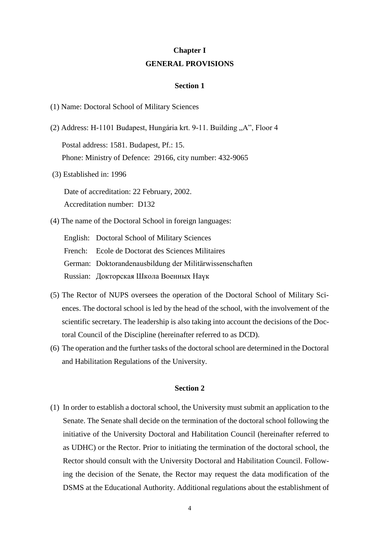### **Chapter I GENERAL PROVISIONS**

#### **Section 1**

<span id="page-3-0"></span>(1) Name: Doctoral School of Military Sciences

- (2) Address: H-1101 Budapest, Hungária krt. 9-11. Building "A", Floor 4 Postal address: 1581. Budapest, Pf.: 15. Phone: Ministry of Defence: 29166, city number: 432-9065
- (3) Established in: 1996

Date of accreditation: 22 February, 2002. Accreditation number: D132

(4) The name of the Doctoral School in foreign languages:

English: Doctoral School of Military Sciences French: Ecole de Doctorat des Sciences Militaires German: Doktorandenausbildung der Militärwissenschaften Russian: Докторская Школа Военных Наүк

- (5) The Rector of NUPS oversees the operation of the Doctoral School of Military Sciences. The doctoral school is led by the head of the school, with the involvement of the scientific secretary. The leadership is also taking into account the decisions of the Doctoral Council of the Discipline (hereinafter referred to as DCD).
- (6) The operation and the further tasks of the doctoral school are determined in the Doctoral and Habilitation Regulations of the University.

#### **Section 2**

(1) In order to establish a doctoral school, the University must submit an application to the Senate. The Senate shall decide on the termination of the doctoral school following the initiative of the University Doctoral and Habilitation Council (hereinafter referred to as UDHC) or the Rector. Prior to initiating the termination of the doctoral school, the Rector should consult with the University Doctoral and Habilitation Council. Following the decision of the Senate, the Rector may request the data modification of the DSMS at the Educational Authority. Additional regulations about the establishment of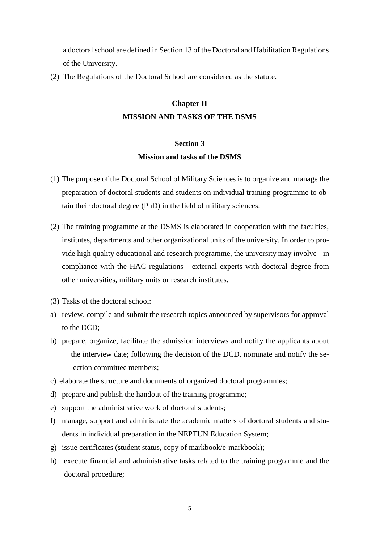a doctoral school are defined in Section 13 of the Doctoral and Habilitation Regulations of the University.

<span id="page-4-0"></span>(2) The Regulations of the Doctoral School are considered as the statute.

### **Chapter II MISSION AND TASKS OF THE DSMS**

## **Section 3 Mission and tasks of the DSMS**

- (1) The purpose of the Doctoral School of Military Sciences is to organize and manage the preparation of doctoral students and students on individual training programme to obtain their doctoral degree (PhD) in the field of military sciences.
- (2) The training programme at the DSMS is elaborated in cooperation with the faculties, institutes, departments and other organizational units of the university. In order to provide high quality educational and research programme, the university may involve - in compliance with the HAC regulations - external experts with doctoral degree from other universities, military units or research institutes.
- (3) Tasks of the doctoral school:
- a) review, compile and submit the research topics announced by supervisors for approval to the DCD;
- b) prepare, organize, facilitate the admission interviews and notify the applicants about the interview date; following the decision of the DCD, nominate and notify the selection committee members;
- c) elaborate the structure and documents of organized doctoral programmes;
- d) prepare and publish the handout of the training programme;
- e) support the administrative work of doctoral students;
- f) manage, support and administrate the academic matters of doctoral students and students in individual preparation in the NEPTUN Education System;
- g) issue certificates (student status, copy of markbook/e-markbook);
- h) execute financial and administrative tasks related to the training programme and the doctoral procedure;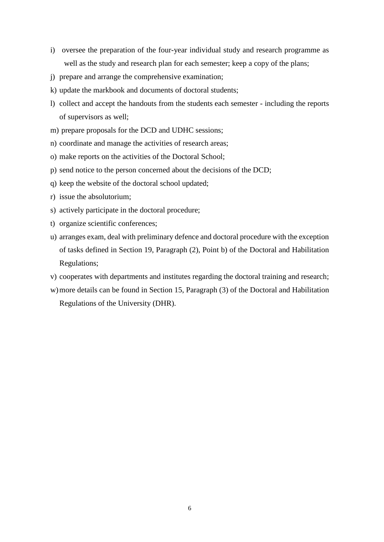- i) oversee the preparation of the four-year individual study and research programme as well as the study and research plan for each semester; keep a copy of the plans;
- j) prepare and arrange the comprehensive examination;
- k) update the markbook and documents of doctoral students;
- l) collect and accept the handouts from the students each semester including the reports of supervisors as well;
- m) prepare proposals for the DCD and UDHC sessions;
- n) coordinate and manage the activities of research areas;
- o) make reports on the activities of the Doctoral School;
- p) send notice to the person concerned about the decisions of the DCD;
- q) keep the website of the doctoral school updated;
- r) issue the absolutorium;
- s) actively participate in the doctoral procedure;
- t) organize scientific conferences;
- u) arranges exam, deal with preliminary defence and doctoral procedure with the exception of tasks defined in Section 19, Paragraph (2), Point b) of the Doctoral and Habilitation Regulations;
- v) cooperates with departments and institutes regarding the doctoral training and research;
- w)more details can be found in Section 15, Paragraph (3) of the Doctoral and Habilitation Regulations of the University (DHR).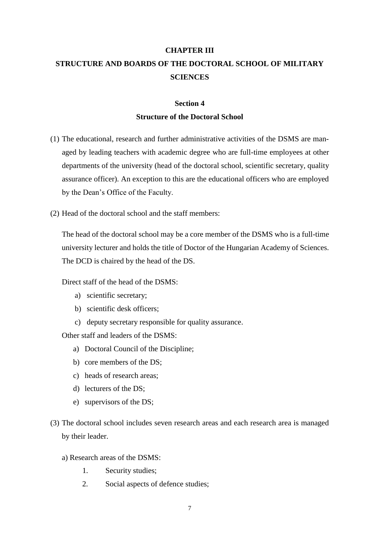# <span id="page-6-0"></span>**CHAPTER III STRUCTURE AND BOARDS OF THE DOCTORAL SCHOOL OF MILITARY SCIENCES**

### **Section 4 Structure of the Doctoral School**

- (1) The educational, research and further administrative activities of the DSMS are managed by leading teachers with academic degree who are full-time employees at other departments of the university (head of the doctoral school, scientific secretary, quality assurance officer). An exception to this are the educational officers who are employed by the Dean's Office of the Faculty.
- (2) Head of the doctoral school and the staff members:

The head of the doctoral school may be a core member of the DSMS who is a full-time university lecturer and holds the title of Doctor of the Hungarian Academy of Sciences. The DCD is chaired by the head of the DS.

Direct staff of the head of the DSMS:

- a) scientific secretary;
- b) scientific desk officers;
- c) deputy secretary responsible for quality assurance.

Other staff and leaders of the DSMS:

- a) Doctoral Council of the Discipline;
- b) core members of the DS;
- c) heads of research areas;
- d) lecturers of the DS;
- e) supervisors of the DS;
- (3) The doctoral school includes seven research areas and each research area is managed by their leader.
	- a) Research areas of the DSMS:
		- 1. Security studies;
		- 2. Social aspects of defence studies;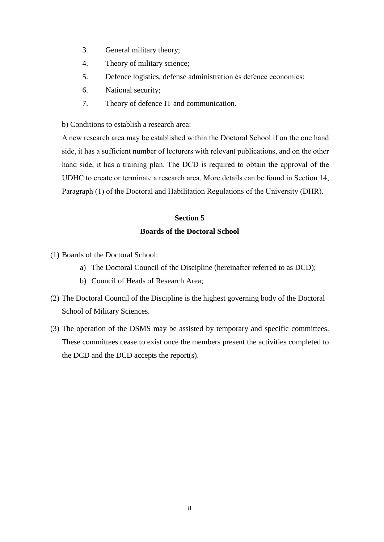- 3. General military theory;
- 4. Theory of military science;
- 5. Defence logistics, defense administration és defence economics;
- 6. National security;
- 7. Theory of defence IT and communication.

b) Conditions to establish a research area:

A new research area may be established within the Doctoral School if on the one hand side, it has a sufficient number of lecturers with relevant publications, and on the other hand side, it has a training plan. The DCD is required to obtain the approval of the UDHC to create or terminate a research area. More details can be found in Section 14, Paragraph (1) of the Doctoral and Habilitation Regulations of the University (DHR).

### **Section 5 Boards of the Doctoral School**

- (1) Boards of the Doctoral School:
	- a) The Doctoral Council of the Discipline (hereinafter referred to as DCD);
	- b) Council of Heads of Research Area;
- (2) The Doctoral Council of the Discipline is the highest governing body of the Doctoral School of Military Sciences.
- (3) The operation of the DSMS may be assisted by temporary and specific committees. These committees cease to exist once the members present the activities completed to the DCD and the DCD accepts the report(s).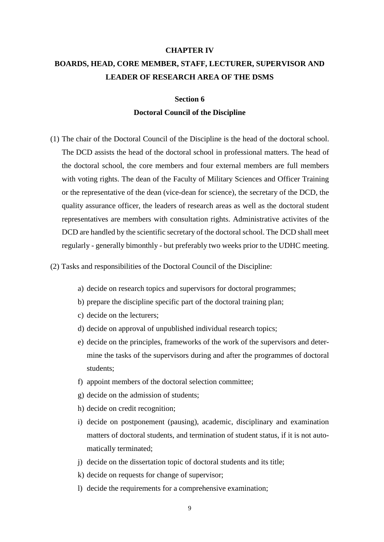# <span id="page-8-0"></span>**CHAPTER IV BOARDS, HEAD, CORE MEMBER, STAFF, LECTURER, SUPERVISOR AND LEADER OF RESEARCH AREA OF THE DSMS**

### **Section 6 Doctoral Council of the Discipline**

- (1) The chair of the Doctoral Council of the Discipline is the head of the doctoral school. The DCD assists the head of the doctoral school in professional matters. The head of the doctoral school, the core members and four external members are full members with voting rights. The dean of the Faculty of Military Sciences and Officer Training or the representative of the dean (vice-dean for science), the secretary of the DCD, the quality assurance officer, the leaders of research areas as well as the doctoral student representatives are members with consultation rights. Administrative activites of the DCD are handled by the scientific secretary of the doctoral school. The DCD shall meet regularly - generally bimonthly - but preferably two weeks prior to the UDHC meeting.
- (2) Tasks and responsibilities of the Doctoral Council of the Discipline:
	- a) decide on research topics and supervisors for doctoral programmes;
	- b) prepare the discipline specific part of the doctoral training plan;
	- c) decide on the lecturers;
	- d) decide on approval of unpublished individual research topics;
	- e) decide on the principles, frameworks of the work of the supervisors and determine the tasks of the supervisors during and after the programmes of doctoral students;
	- f) appoint members of the doctoral selection committee;
	- g) decide on the admission of students;
	- h) decide on credit recognition;
	- i) decide on postponement (pausing), academic, disciplinary and examination matters of doctoral students, and termination of student status, if it is not automatically terminated;
	- j) decide on the dissertation topic of doctoral students and its title;
	- k) decide on requests for change of supervisor;
	- l) decide the requirements for a comprehensive examination;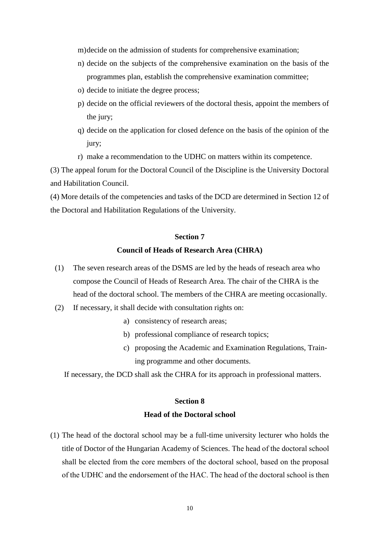m)decide on the admission of students for comprehensive examination;

- n) decide on the subjects of the comprehensive examination on the basis of the programmes plan, establish the comprehensive examination committee;
- o) decide to initiate the degree process;
- p) decide on the official reviewers of the doctoral thesis, appoint the members of the jury;
- q) decide on the application for closed defence on the basis of the opinion of the jury;
- r) make a recommendation to the UDHC on matters within its competence.

(3) The appeal forum for the Doctoral Council of the Discipline is the University Doctoral and Habilitation Council.

(4) More details of the competencies and tasks of the DCD are determined in Section 12 of the Doctoral and Habilitation Regulations of the University.

### **Section 7**

### **Council of Heads of Research Area (CHRA)**

- (1) The seven research areas of the DSMS are led by the heads of reseach area who compose the Council of Heads of Research Area. The chair of the CHRA is the head of the doctoral school. The members of the CHRA are meeting occasionally.
- (2) If necessary, it shall decide with consultation rights on:
	- a) consistency of research areas;
	- b) professional compliance of research topics;
	- c) proposing the Academic and Examination Regulations, Training programme and other documents.

If necessary, the DCD shall ask the CHRA for its approach in professional matters.

### **Section 8 Head of the Doctoral school**

(1) The head of the doctoral school may be a full-time university lecturer who holds the title of Doctor of the Hungarian Academy of Sciences. The head of the doctoral school shall be elected from the core members of the doctoral school, based on the proposal of the UDHC and the endorsement of the HAC. The head of the doctoral school is then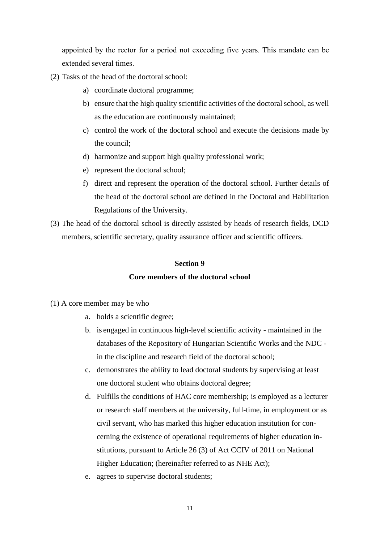appointed by the rector for a period not exceeding five years. This mandate can be extended several times.

- (2) Tasks of the head of the doctoral school:
	- a) coordinate doctoral programme;
	- b) ensure that the high quality scientific activities of the doctoral school, as well as the education are continuously maintained;
	- c) control the work of the doctoral school and execute the decisions made by the council;
	- d) harmonize and support high quality professional work;
	- e) represent the doctoral school;
	- f) direct and represent the operation of the doctoral school. Further details of the head of the doctoral school are defined in the Doctoral and Habilitation Regulations of the University.
- (3) The head of the doctoral school is directly assisted by heads of research fields, DCD members, scientific secretary, quality assurance officer and scientific officers.

### **Section 9**

### **Core members of the doctoral school**

- (1) A core member may be who
	- a. holds a scientific degree;
	- b. is engaged in continuous high-level scientific activity maintained in the databases of the Repository of Hungarian Scientific Works and the NDC in the discipline and research field of the doctoral school;
	- c. demonstrates the ability to lead doctoral students by supervising at least one doctoral student who obtains doctoral degree;
	- d. Fulfills the conditions of HAC core membership; is employed as a lecturer or research staff members at the university, full-time, in employment or as civil servant, who has marked this higher education institution for concerning the existence of operational requirements of higher education institutions, pursuant to Article 26 (3) of Act CCIV of 2011 on National Higher Education; (hereinafter referred to as NHE Act);
	- e. agrees to supervise doctoral students;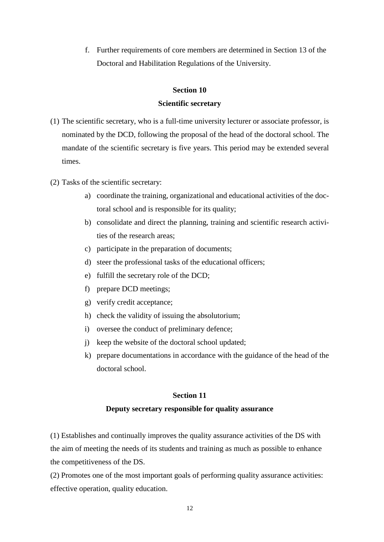f. Further requirements of core members are determined in Section 13 of the Doctoral and Habilitation Regulations of the University.

### **Section 10**

### **Scientific secretary**

- (1) The scientific secretary, who is a full-time university lecturer or associate professor, is nominated by the DCD, following the proposal of the head of the doctoral school. The mandate of the scientific secretary is five years. This period may be extended several times.
- (2) Tasks of the scientific secretary:
	- a) coordinate the training, organizational and educational activities of the doctoral school and is responsible for its quality;
	- b) consolidate and direct the planning, training and scientific research activities of the research areas;
	- c) participate in the preparation of documents;
	- d) steer the professional tasks of the educational officers;
	- e) fulfill the secretary role of the DCD;
	- f) prepare DCD meetings;
	- g) verify credit acceptance;
	- h) check the validity of issuing the absolutorium;
	- i) oversee the conduct of preliminary defence;
	- j) keep the website of the doctoral school updated;
	- k) prepare documentations in accordance with the guidance of the head of the doctoral school.

### **Section 11**

### **Deputy secretary responsible for quality assurance**

(1) Establishes and continually improves the quality assurance activities of the DS with the aim of meeting the needs of its students and training as much as possible to enhance the competitiveness of the DS.

(2) Promotes one of the most important goals of performing quality assurance activities: effective operation, quality education.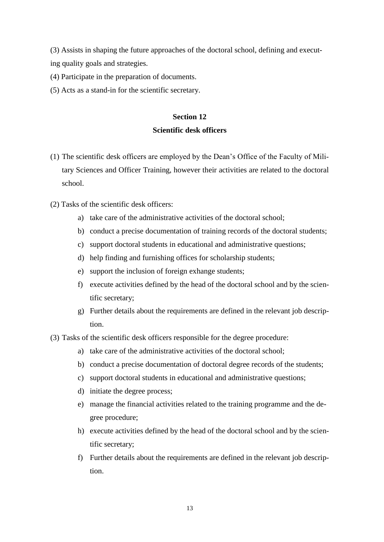(3) Assists in shaping the future approaches of the doctoral school, defining and executing quality goals and strategies.

(4) Participate in the preparation of documents.

(5) Acts as a stand-in for the scientific secretary.

### **Section 12**

### **Scientific desk officers**

- (1) The scientific desk officers are employed by the Dean's Office of the Faculty of Military Sciences and Officer Training, however their activities are related to the doctoral school.
- (2) Tasks of the scientific desk officers:
	- a) take care of the administrative activities of the doctoral school;
	- b) conduct a precise documentation of training records of the doctoral students;
	- c) support doctoral students in educational and administrative questions;
	- d) help finding and furnishing offices for scholarship students;
	- e) support the inclusion of foreign exhange students;
	- f) execute activities defined by the head of the doctoral school and by the scientific secretary;
	- g) Further details about the requirements are defined in the relevant job description.
- (3) Tasks of the scientific desk officers responsible for the degree procedure:
	- a) take care of the administrative activities of the doctoral school;
	- b) conduct a precise documentation of doctoral degree records of the students;
	- c) support doctoral students in educational and administrative questions;
	- d) initiate the degree process;
	- e) manage the financial activities related to the training programme and the degree procedure;
	- h) execute activities defined by the head of the doctoral school and by the scientific secretary;
	- f) Further details about the requirements are defined in the relevant job description.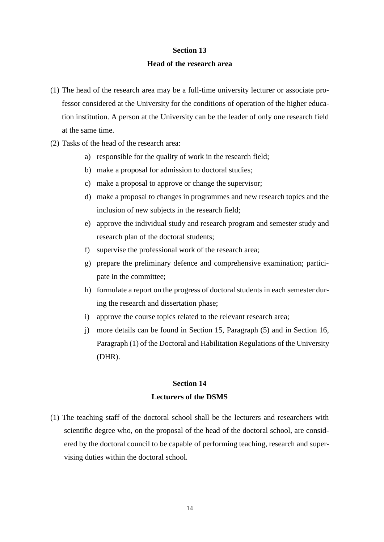#### **Section 13**

#### **Head of the research area**

- (1) The head of the research area may be a full-time university lecturer or associate professor considered at the University for the conditions of operation of the higher education institution. A person at the University can be the leader of only one research field at the same time.
- (2) Tasks of the head of the research area:
	- a) responsible for the quality of work in the research field;
	- b) make a proposal for admission to doctoral studies;
	- c) make a proposal to approve or change the supervisor;
	- d) make a proposal to changes in programmes and new research topics and the inclusion of new subjects in the research field;
	- e) approve the individual study and research program and semester study and research plan of the doctoral students;
	- f) supervise the professional work of the research area;
	- g) prepare the preliminary defence and comprehensive examination; participate in the committee;
	- h) formulate a report on the progress of doctoral students in each semester during the research and dissertation phase;
	- i) approve the course topics related to the relevant research area;
	- j) more details can be found in Section 15, Paragraph (5) and in Section 16, Paragraph (1) of the Doctoral and Habilitation Regulations of the University (DHR).

### **Section 14 Lecturers of the DSMS**

(1) The teaching staff of the doctoral school shall be the lecturers and researchers with scientific degree who, on the proposal of the head of the doctoral school, are considered by the doctoral council to be capable of performing teaching, research and supervising duties within the doctoral school.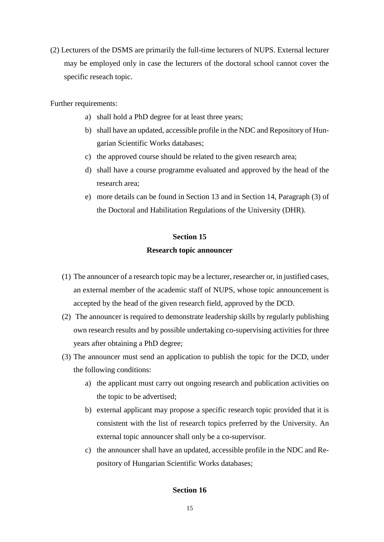(2) Lecturers of the DSMS are primarily the full-time lecturers of NUPS. External lecturer may be employed only in case the lecturers of the doctoral school cannot cover the specific reseach topic.

Further requirements:

- a) shall hold a PhD degree for at least three years;
- b) shall have an updated, accessible profile in the NDC and Repository of Hungarian Scientific Works databases;
- c) the approved course should be related to the given research area;
- d) shall have a course programme evaluated and approved by the head of the research area;
- e) more details can be found in Section 13 and in Section 14, Paragraph (3) of the Doctoral and Habilitation Regulations of the University (DHR).

## **Section 15 Research topic announcer**

- (1) The announcer of a research topic may be a lecturer, researcher or, in justified cases, an external member of the academic staff of NUPS, whose topic announcement is accepted by the head of the given research field, approved by the DCD.
- (2) The announcer is required to demonstrate leadership skills by regularly publishing own research results and by possible undertaking co-supervising activities for three years after obtaining a PhD degree;
- (3) The announcer must send an application to publish the topic for the DCD, under the following conditions:
	- a) the applicant must carry out ongoing research and publication activities on the topic to be advertised;
	- b) external applicant may propose a specific research topic provided that it is consistent with the list of research topics preferred by the University. An external topic announcer shall only be a co-supervisor.
	- c) the announcer shall have an updated, accessible profile in the NDC and Repository of Hungarian Scientific Works databases;

### **Section 16**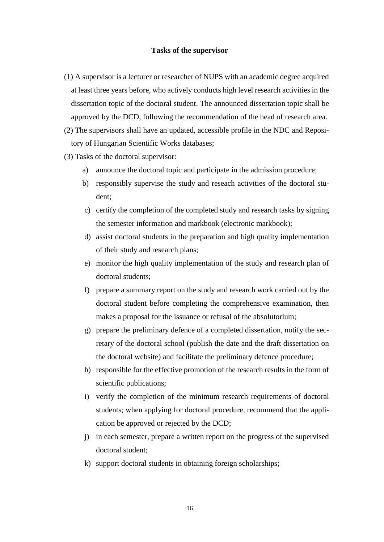### **Tasks of the supervisor**

(1) A supervisor is a lecturer or researcher of NUPS with an academic degree acquired at least three years before, who actively conducts high level research activities in the dissertation topic of the doctoral student. The announced dissertation topic shall be approved by the DCD, following the recommendation of the head of research area.

(2) The supervisors shall have an updated, accessible profile in the NDC and Repository of Hungarian Scientific Works databases;

- (3) Tasks of the doctoral supervisor:
	- a) announce the doctoral topic and participate in the admission procedure;
	- b) responsibly supervise the study and reseach activities of the doctoral student;
	- c) certify the completion of the completed study and research tasks by signing the semester information and markbook (electronic markbook);
	- d) assist doctoral students in the preparation and high quality implementation of their study and research plans;
	- e) monitor the high quality implementation of the study and research plan of doctoral students;
	- f) prepare a summary report on the study and research work carried out by the doctoral student before completing the comprehensive examination, then makes a proposal for the issuance or refusal of the absolutorium;
	- g) prepare the preliminary defence of a completed dissertation, notify the secretary of the doctoral school (publish the date and the draft dissertation on the doctoral website) and facilitate the preliminary defence procedure;
	- h) responsible for the effective promotion of the research results in the form of scientific publications;
	- i) verify the completion of the minimum research requirements of doctoral students; when applying for doctoral procedure, recommend that the application be approved or rejected by the DCD;
	- j) in each semester, prepare a written report on the progress of the supervised doctoral student;
	- k) support doctoral students in obtaining foreign scholarships;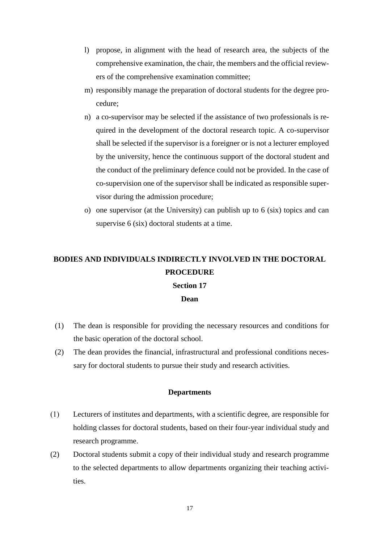- l) propose, in alignment with the head of research area, the subjects of the comprehensive examination, the chair, the members and the official reviewers of the comprehensive examination committee;
- m) responsibly manage the preparation of doctoral students for the degree procedure;
- n) a co-supervisor may be selected if the assistance of two professionals is required in the development of the doctoral research topic. A co-supervisor shall be selected if the supervisor is a foreigner or is not a lecturer employed by the university, hence the continuous support of the doctoral student and the conduct of the preliminary defence could not be provided. In the case of co-supervision one of the supervisor shall be indicated as responsible supervisor during the admission procedure;
- o) one supervisor (at the University) can publish up to 6 (six) topics and can supervise 6 (six) doctoral students at a time.

# **BODIES AND INDIVIDUALS INDIRECTLY INVOLVED IN THE DOCTORAL PROCEDURE**

### **Section 17**

### **Dean**

- (1) The dean is responsible for providing the necessary resources and conditions for the basic operation of the doctoral school.
- (2) The dean provides the financial, infrastructural and professional conditions necessary for doctoral students to pursue their study and research activities.

### **Departments**

- (1) Lecturers of institutes and departments, with a scientific degree, are responsible for holding classes for doctoral students, based on their four-year individual study and research programme.
- (2) Doctoral students submit a copy of their individual study and research programme to the selected departments to allow departments organizing their teaching activities.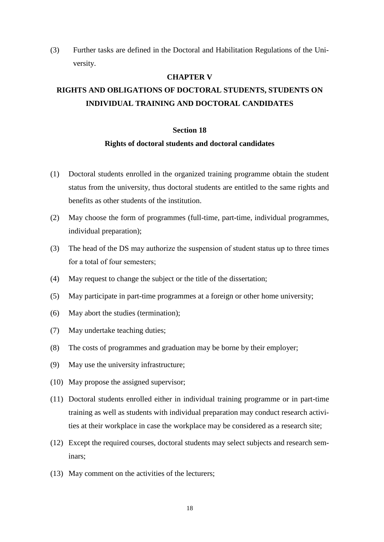(3) Further tasks are defined in the Doctoral and Habilitation Regulations of the University.

### **CHAPTER V**

# <span id="page-17-0"></span>**RIGHTS AND OBLIGATIONS OF DOCTORAL STUDENTS, STUDENTS ON INDIVIDUAL TRAINING AND DOCTORAL CANDIDATES**

### **Section 18**

#### **Rights of doctoral students and doctoral candidates**

- (1) Doctoral students enrolled in the organized training programme obtain the student status from the university, thus doctoral students are entitled to the same rights and benefits as other students of the institution.
- (2) May choose the form of programmes (full-time, part-time, individual programmes, individual preparation);
- (3) The head of the DS may authorize the suspension of student status up to three times for a total of four semesters;
- (4) May request to change the subject or the title of the dissertation;
- (5) May participate in part-time programmes at a foreign or other home university;
- (6) May abort the studies (termination);
- (7) May undertake teaching duties;
- (8) The costs of programmes and graduation may be borne by their employer;
- (9) May use the university infrastructure;
- (10) May propose the assigned supervisor;
- (11) Doctoral students enrolled either in individual training programme or in part-time training as well as students with individual preparation may conduct research activities at their workplace in case the workplace may be considered as a research site;
- (12) Except the required courses, doctoral students may select subjects and research seminars;
- (13) May comment on the activities of the lecturers;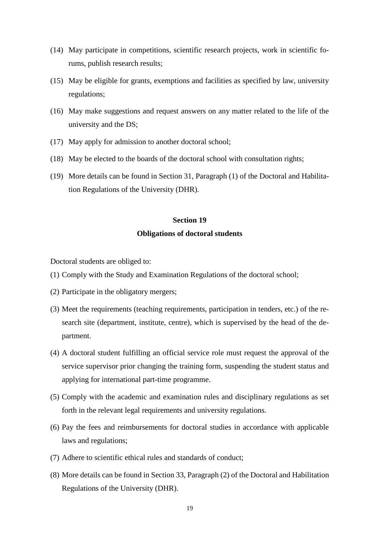- (14) May participate in competitions, scientific research projects, work in scientific forums, publish research results;
- (15) May be eligible for grants, exemptions and facilities as specified by law, university regulations;
- (16) May make suggestions and request answers on any matter related to the life of the university and the DS;
- (17) May apply for admission to another doctoral school;
- (18) May be elected to the boards of the doctoral school with consultation rights;
- (19) More details can be found in Section 31, Paragraph (1) of the Doctoral and Habilitation Regulations of the University (DHR).

#### **Section 19**

#### **Obligations of doctoral students**

Doctoral students are obliged to:

- (1) Comply with the Study and Examination Regulations of the doctoral school;
- (2) Participate in the obligatory mergers;
- (3) Meet the requirements (teaching requirements, participation in tenders, etc.) of the research site (department, institute, centre), which is supervised by the head of the department.
- (4) A doctoral student fulfilling an official service role must request the approval of the service supervisor prior changing the training form, suspending the student status and applying for international part-time programme.
- (5) Comply with the academic and examination rules and disciplinary regulations as set forth in the relevant legal requirements and university regulations.
- (6) Pay the fees and reimbursements for doctoral studies in accordance with applicable laws and regulations;
- (7) Adhere to scientific ethical rules and standards of conduct;
- (8) More details can be found in Section 33, Paragraph (2) of the Doctoral and Habilitation Regulations of the University (DHR).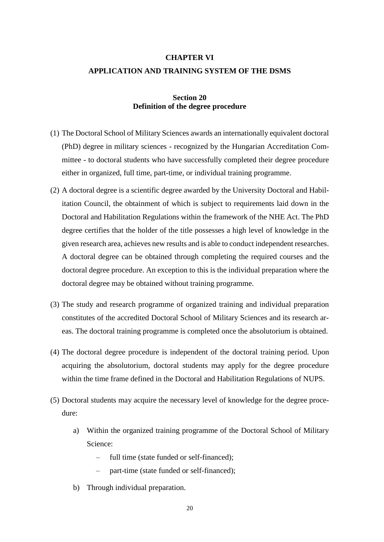### <span id="page-19-0"></span>**CHAPTER VI APPLICATION AND TRAINING SYSTEM OF THE DSMS**

### **Section 20 Definition of the degree procedure**

- (1) The Doctoral School of Military Sciences awards an internationally equivalent doctoral (PhD) degree in military sciences - recognized by the Hungarian Accreditation Committee - to doctoral students who have successfully completed their degree procedure either in organized, full time, part-time, or individual training programme.
- (2) A doctoral degree is a scientific degree awarded by the University Doctoral and Habilitation Council, the obtainment of which is subject to requirements laid down in the Doctoral and Habilitation Regulations within the framework of the NHE Act. The PhD degree certifies that the holder of the title possesses a high level of knowledge in the given research area, achieves new results and is able to conduct independent researches. A doctoral degree can be obtained through completing the required courses and the doctoral degree procedure. An exception to this is the individual preparation where the doctoral degree may be obtained without training programme.
- (3) The study and research programme of organized training and individual preparation constitutes of the accredited Doctoral School of Military Sciences and its research areas. The doctoral training programme is completed once the absolutorium is obtained.
- (4) The doctoral degree procedure is independent of the doctoral training period. Upon acquiring the absolutorium, doctoral students may apply for the degree procedure within the time frame defined in the Doctoral and Habilitation Regulations of NUPS.
- (5) Doctoral students may acquire the necessary level of knowledge for the degree procedure:
	- a) Within the organized training programme of the Doctoral School of Military Science:
		- full time (state funded or self-financed);
		- part-time (state funded or self-financed);
	- b) Through individual preparation.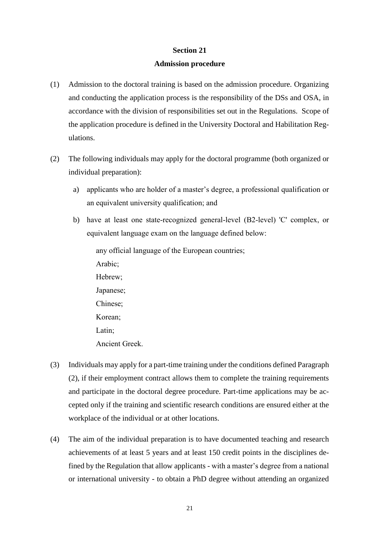### **Section 21**

### **Admission procedure**

- (1) Admission to the doctoral training is based on the admission procedure. Organizing and conducting the application process is the responsibility of the DSs and OSA, in accordance with the division of responsibilities set out in the Regulations. Scope of the application procedure is defined in the University Doctoral and Habilitation Regulations.
- (2) The following individuals may apply for the doctoral programme (both organized or individual preparation):
	- a) applicants who are holder of a master's degree, a professional qualification or an equivalent university qualification; and
	- b) have at least one state-recognized general-level (B2-level) 'C' complex, or equivalent language exam on the language defined below:

any official language of the European countries; Arabic; Hebrew; Japanese; Chinese; Korean; Latin; Ancient Greek.

- (3) Individuals may apply for a part-time training under the conditions defined Paragraph (2), if their employment contract allows them to complete the training requirements and participate in the doctoral degree procedure. Part-time applications may be accepted only if the training and scientific research conditions are ensured either at the workplace of the individual or at other locations.
- (4) The aim of the individual preparation is to have documented teaching and research achievements of at least 5 years and at least 150 credit points in the disciplines defined by the Regulation that allow applicants - with a master's degree from a national or international university - to obtain a PhD degree without attending an organized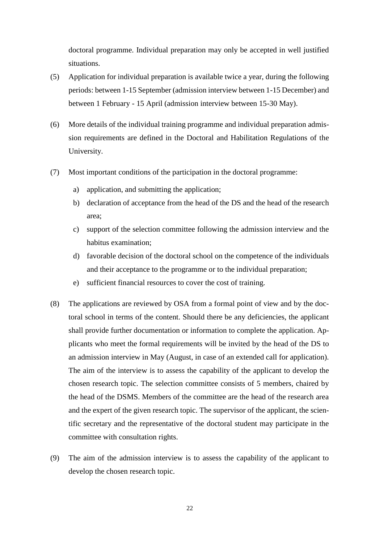doctoral programme. Individual preparation may only be accepted in well justified situations.

- (5) Application for individual preparation is available twice a year, during the following periods: between 1-15 September (admission interview between 1-15 December) and between 1 February - 15 April (admission interview between 15-30 May).
- (6) More details of the individual training programme and individual preparation admission requirements are defined in the Doctoral and Habilitation Regulations of the University.
- (7) Most important conditions of the participation in the doctoral programme:
	- a) application, and submitting the application;
	- b) declaration of acceptance from the head of the DS and the head of the research area;
	- c) support of the selection committee following the admission interview and the habitus examination;
	- d) favorable decision of the doctoral school on the competence of the individuals and their acceptance to the programme or to the individual preparation;
	- e) sufficient financial resources to cover the cost of training.
- (8) The applications are reviewed by OSA from a formal point of view and by the doctoral school in terms of the content. Should there be any deficiencies, the applicant shall provide further documentation or information to complete the application. Applicants who meet the formal requirements will be invited by the head of the DS to an admission interview in May (August, in case of an extended call for application). The aim of the interview is to assess the capability of the applicant to develop the chosen research topic. The selection committee consists of 5 members, chaired by the head of the DSMS. Members of the committee are the head of the research area and the expert of the given research topic. The supervisor of the applicant, the scientific secretary and the representative of the doctoral student may participate in the committee with consultation rights.
- (9) The aim of the admission interview is to assess the capability of the applicant to develop the chosen research topic.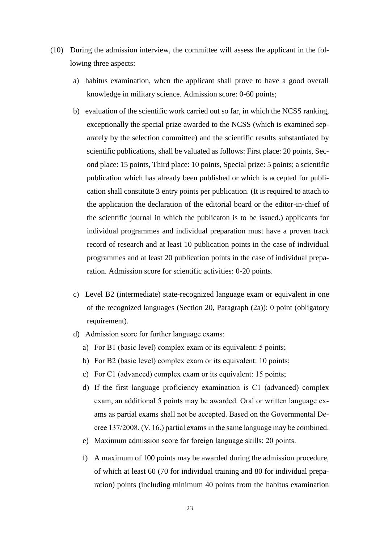- (10) During the admission interview, the committee will assess the applicant in the following three aspects:
	- a) habitus examination, when the applicant shall prove to have a good overall knowledge in military science. Admission score: 0-60 points;
	- b) evaluation of the scientific work carried out so far, in which the NCSS ranking, exceptionally the special prize awarded to the NCSS (which is examined separately by the selection committee) and the scientific results substantiated by scientific publications, shall be valuated as follows: First place: 20 points, Second place: 15 points, Third place: 10 points, Special prize: 5 points; a scientific publication which has already been published or which is accepted for publication shall constitute 3 entry points per publication. (It is required to attach to the application the declaration of the editorial board or the editor-in-chief of the scientific journal in which the publicaton is to be issued.) applicants for individual programmes and individual preparation must have a proven track record of research and at least 10 publication points in the case of individual programmes and at least 20 publication points in the case of individual preparation. Admission score for scientific activities: 0-20 points.
	- c) Level B2 (intermediate) state-recognized language exam or equivalent in one of the recognized languages (Section 20, Paragraph (2a)): 0 point (obligatory requirement).
	- d) Admission score for further language exams:
		- a) For B1 (basic level) complex exam or its equivalent: 5 points;
		- b) For B2 (basic level) complex exam or its equivalent: 10 points;
		- c) For C1 (advanced) complex exam or its equivalent: 15 points;
		- d) If the first language proficiency examination is C1 (advanced) complex exam, an additional 5 points may be awarded. Oral or written language exams as partial exams shall not be accepted. Based on the Governmental Decree 137/2008. (V. 16.) partial exams in the same language may be combined.
		- e) Maximum admission score for foreign language skills: 20 points.
		- f) A maximum of 100 points may be awarded during the admission procedure, of which at least 60 (70 for individual training and 80 for individual preparation) points (including minimum 40 points from the habitus examination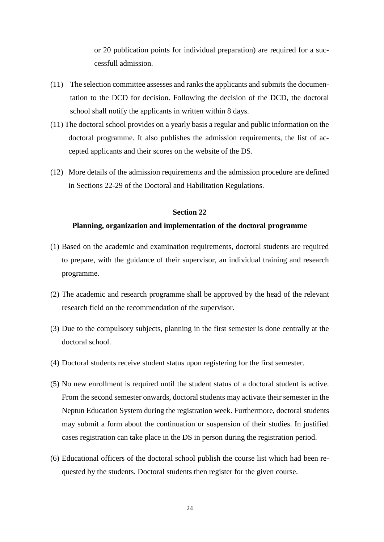or 20 publication points for individual preparation) are required for a successfull admission.

- (11) The selection committee assesses and ranks the applicants and submits the documentation to the DCD for decision. Following the decision of the DCD, the doctoral school shall notify the applicants in written within 8 days.
- (11) The doctoral school provides on a yearly basis a regular and public information on the doctoral programme. It also publishes the admission requirements, the list of accepted applicants and their scores on the website of the DS.
- (12) More details of the admission requirements and the admission procedure are defined in Sections 22-29 of the Doctoral and Habilitation Regulations.

#### **Section 22**

### **Planning, organization and implementation of the doctoral programme**

- (1) Based on the academic and examination requirements, doctoral students are required to prepare, with the guidance of their supervisor, an individual training and research programme.
- (2) The academic and research programme shall be approved by the head of the relevant research field on the recommendation of the supervisor.
- (3) Due to the compulsory subjects, planning in the first semester is done centrally at the doctoral school.
- (4) Doctoral students receive student status upon registering for the first semester.
- (5) No new enrollment is required until the student status of a doctoral student is active. From the second semester onwards, doctoral students may activate their semester in the Neptun Education System during the registration week. Furthermore, doctoral students may submit a form about the continuation or suspension of their studies. In justified cases registration can take place in the DS in person during the registration period.
- (6) Educational officers of the doctoral school publish the course list which had been requested by the students. Doctoral students then register for the given course.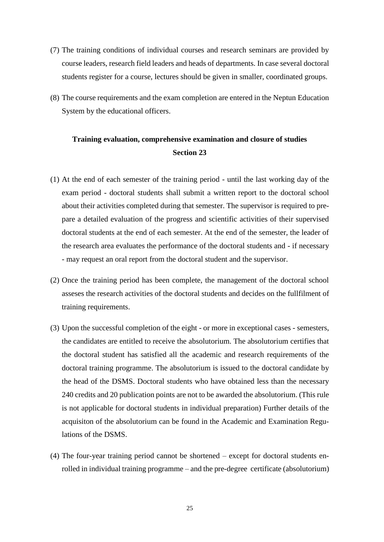- (7) The training conditions of individual courses and research seminars are provided by course leaders, research field leaders and heads of departments. In case several doctoral students register for a course, lectures should be given in smaller, coordinated groups.
- (8) The course requirements and the exam completion are entered in the Neptun Education System by the educational officers.

### **Training evaluation, comprehensive examination and closure of studies Section 23**

- (1) At the end of each semester of the training period until the last working day of the exam period - doctoral students shall submit a written report to the doctoral school about their activities completed during that semester. The supervisor is required to prepare a detailed evaluation of the progress and scientific activities of their supervised doctoral students at the end of each semester. At the end of the semester, the leader of the research area evaluates the performance of the doctoral students and - if necessary - may request an oral report from the doctoral student and the supervisor.
- (2) Once the training period has been complete, the management of the doctoral school asseses the research activities of the doctoral students and decides on the fullfilment of training requirements.
- (3) Upon the successful completion of the eight or more in exceptional cases semesters, the candidates are entitled to receive the absolutorium. The absolutorium certifies that the doctoral student has satisfied all the academic and research requirements of the doctoral training programme. The absolutorium is issued to the doctoral candidate by the head of the DSMS. Doctoral students who have obtained less than the necessary 240 credits and 20 publication points are not to be awarded the absolutorium. (This rule is not applicable for doctoral students in individual preparation) Further details of the acquisiton of the absolutorium can be found in the Academic and Examination Regulations of the DSMS.
- (4) The four-year training period cannot be shortened except for doctoral students enrolled in individual training programme – and the pre-degree certificate (absolutorium)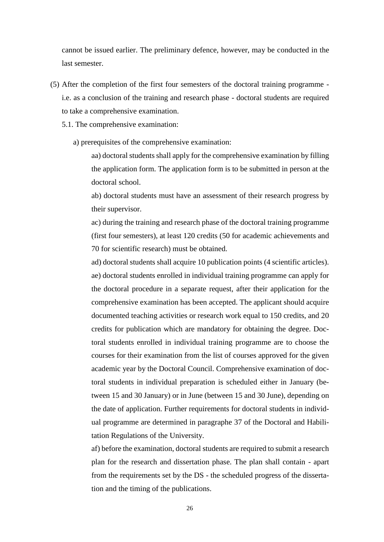cannot be issued earlier. The preliminary defence, however, may be conducted in the last semester.

- (5) After the completion of the first four semesters of the doctoral training programme i.e. as a conclusion of the training and research phase - doctoral students are required to take a comprehensive examination.
	- 5.1. The comprehensive examination:
		- a) prerequisites of the comprehensive examination:

aa) doctoral students shall apply for the comprehensive examination by filling the application form. The application form is to be submitted in person at the doctoral school.

ab) doctoral students must have an assessment of their research progress by their supervisor.

ac) during the training and research phase of the doctoral training programme (first four semesters), at least 120 credits (50 for academic achievements and 70 for scientific research) must be obtained.

ad) doctoral students shall acquire 10 publication points (4 scientific articles). ae) doctoral students enrolled in individual training programme can apply for the doctoral procedure in a separate request, after their application for the comprehensive examination has been accepted. The applicant should acquire documented teaching activities or research work equal to 150 credits, and 20 credits for publication which are mandatory for obtaining the degree. Doctoral students enrolled in individual training programme are to choose the courses for their examination from the list of courses approved for the given academic year by the Doctoral Council. Comprehensive examination of doctoral students in individual preparation is scheduled either in January (between 15 and 30 January) or in June (between 15 and 30 June), depending on the date of application. Further requirements for doctoral students in individual programme are determined in paragraphe 37 of the Doctoral and Habilitation Regulations of the University.

af) before the examination, doctoral students are required to submit a research plan for the research and dissertation phase. The plan shall contain - apart from the requirements set by the DS - the scheduled progress of the dissertation and the timing of the publications.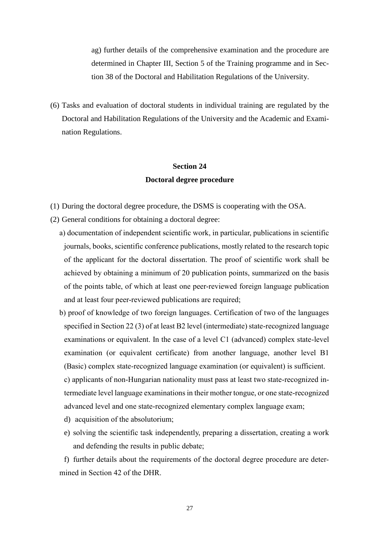ag) further details of the comprehensive examination and the procedure are determined in Chapter III, Section 5 of the Training programme and in Section 38 of the Doctoral and Habilitation Regulations of the University.

(6) Tasks and evaluation of doctoral students in individual training are regulated by the Doctoral and Habilitation Regulations of the University and the Academic and Examination Regulations.

## **Section 24 Doctoral degree procedure**

- (1) During the doctoral degree procedure, the DSMS is cooperating with the OSA.
- (2) General conditions for obtaining a doctoral degree:
	- a) documentation of independent scientific work, in particular, publications in scientific journals, books, scientific conference publications, mostly related to the research topic of the applicant for the doctoral dissertation. The proof of scientific work shall be achieved by obtaining a minimum of 20 publication points, summarized on the basis of the points table, of which at least one peer-reviewed foreign language publication and at least four peer-reviewed publications are required;
	- b) proof of knowledge of two foreign languages. Certification of two of the languages specified in Section 22 (3) of at least B2 level (intermediate) state-recognized language examinations or equivalent. In the case of a level C1 (advanced) complex state-level examination (or equivalent certificate) from another language, another level B1 (Basic) complex state-recognized language examination (or equivalent) is sufficient.

c) applicants of non-Hungarian nationality must pass at least two state-recognized intermediate level language examinations in their mother tongue, or one state-recognized advanced level and one state-recognized elementary complex language exam;

- d) acquisition of the absolutorium;
- e) solving the scientific task independently, preparing a dissertation, creating a work and defending the results in public debate;

f) further details about the requirements of the doctoral degree procedure are determined in Section 42 of the DHR.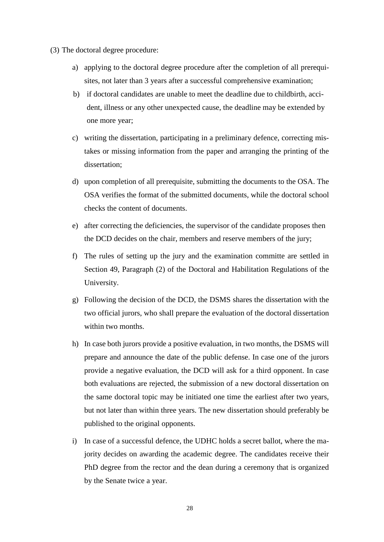- (3) The doctoral degree procedure:
	- a) applying to the doctoral degree procedure after the completion of all prerequisites, not later than 3 years after a successful comprehensive examination;
	- b) if doctoral candidates are unable to meet the deadline due to childbirth, accident, illness or any other unexpected cause, the deadline may be extended by one more year;
	- c) writing the dissertation, participating in a preliminary defence, correcting mistakes or missing information from the paper and arranging the printing of the dissertation;
	- d) upon completion of all prerequisite, submitting the documents to the OSA. The OSA verifies the format of the submitted documents, while the doctoral school checks the content of documents.
	- e) after correcting the deficiencies, the supervisor of the candidate proposes then the DCD decides on the chair, members and reserve members of the jury;
	- f) The rules of setting up the jury and the examination committe are settled in Section 49, Paragraph (2) of the Doctoral and Habilitation Regulations of the University.
	- g) Following the decision of the DCD, the DSMS shares the dissertation with the two official jurors, who shall prepare the evaluation of the doctoral dissertation within two months.
	- h) In case both jurors provide a positive evaluation, in two months, the DSMS will prepare and announce the date of the public defense. In case one of the jurors provide a negative evaluation, the DCD will ask for a third opponent. In case both evaluations are rejected, the submission of a new doctoral dissertation on the same doctoral topic may be initiated one time the earliest after two years, but not later than within three years. The new dissertation should preferably be published to the original opponents.
	- i) In case of a successful defence, the UDHC holds a secret ballot, where the majority decides on awarding the academic degree. The candidates receive their PhD degree from the rector and the dean during a ceremony that is organized by the Senate twice a year.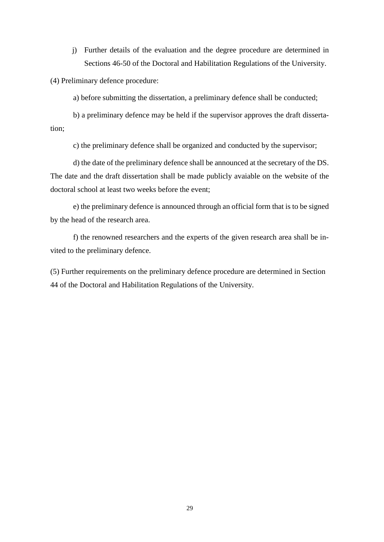j) Further details of the evaluation and the degree procedure are determined in Sections 46-50 of the Doctoral and Habilitation Regulations of the University.

(4) Preliminary defence procedure:

a) before submitting the dissertation, a preliminary defence shall be conducted;

b) a preliminary defence may be held if the supervisor approves the draft dissertation;

c) the preliminary defence shall be organized and conducted by the supervisor;

d) the date of the preliminary defence shall be announced at the secretary of the DS. The date and the draft dissertation shall be made publicly avaiable on the website of the doctoral school at least two weeks before the event;

e) the preliminary defence is announced through an official form that is to be signed by the head of the research area.

f) the renowned researchers and the experts of the given research area shall be invited to the preliminary defence.

(5) Further requirements on the preliminary defence procedure are determined in Section 44 of the Doctoral and Habilitation Regulations of the University.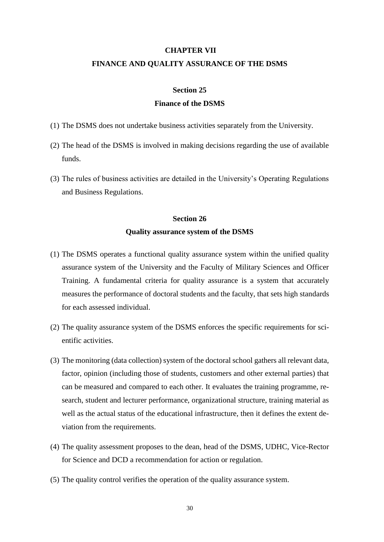#### <span id="page-29-0"></span>**CHAPTER VII**

### **FINANCE AND QUALITY ASSURANCE OF THE DSMS**

### **Section 25**

### **Finance of the DSMS**

- (1) The DSMS does not undertake business activities separately from the University.
- (2) The head of the DSMS is involved in making decisions regarding the use of available funds.
- (3) The rules of business activities are detailed in the University's Operating Regulations and Business Regulations.

### **Section 26**

### **Quality assurance system of the DSMS**

- (1) The DSMS operates a functional quality assurance system within the unified quality assurance system of the University and the Faculty of Military Sciences and Officer Training. A fundamental criteria for quality assurance is a system that accurately measures the performance of doctoral students and the faculty, that sets high standards for each assessed individual.
- (2) The quality assurance system of the DSMS enforces the specific requirements for scientific activities.
- (3) The monitoring (data collection) system of the doctoral school gathers all relevant data, factor, opinion (including those of students, customers and other external parties) that can be measured and compared to each other. It evaluates the training programme, research, student and lecturer performance, organizational structure, training material as well as the actual status of the educational infrastructure, then it defines the extent deviation from the requirements.
- (4) The quality assessment proposes to the dean, head of the DSMS, UDHC, Vice-Rector for Science and DCD a recommendation for action or regulation.
- (5) The quality control verifies the operation of the quality assurance system.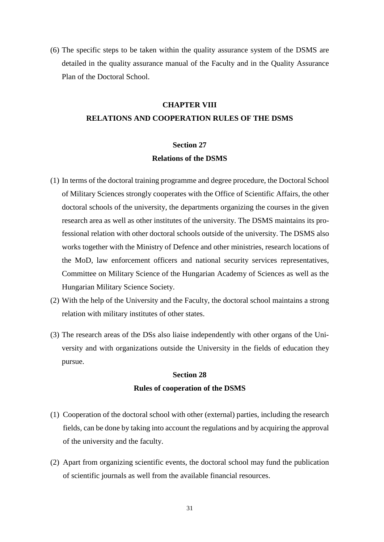(6) The specific steps to be taken within the quality assurance system of the DSMS are detailed in the quality assurance manual of the Faculty and in the Quality Assurance Plan of the Doctoral School.

### **CHAPTER VIII**

### <span id="page-30-0"></span>**RELATIONS AND COOPERATION RULES OF THE DSMS**

### **Section 27 Relations of the DSMS**

- (1) In terms of the doctoral training programme and degree procedure, the Doctoral School of Military Sciences strongly cooperates with the Office of Scientific Affairs, the other doctoral schools of the university, the departments organizing the courses in the given research area as well as other institutes of the university. The DSMS maintains its professional relation with other doctoral schools outside of the university. The DSMS also works together with the Ministry of Defence and other ministries, research locations of the MoD, law enforcement officers and national security services representatives, Committee on Military Science of the Hungarian Academy of Sciences as well as the Hungarian Military Science Society.
- (2) With the help of the University and the Faculty, the doctoral school maintains a strong relation with military institutes of other states.
- (3) The research areas of the DSs also liaise independently with other organs of the University and with organizations outside the University in the fields of education they pursue.

### **Section 28 Rules of cooperation of the DSMS**

- (1) Cooperation of the doctoral school with other (external) parties, including the research fields, can be done by taking into account the regulations and by acquiring the approval of the university and the faculty.
- (2) Apart from organizing scientific events, the doctoral school may fund the publication of scientific journals as well from the available financial resources.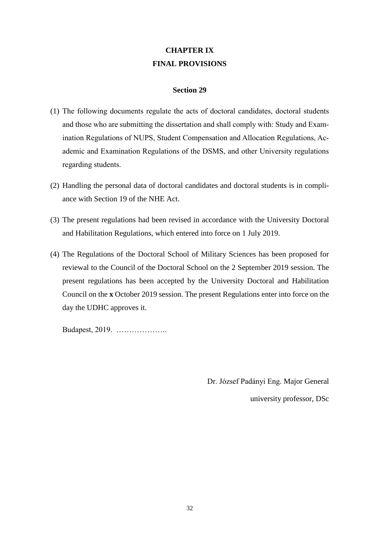# **CHAPTER IX FINAL PROVISIONS**

### **Section 29**

- <span id="page-31-0"></span>(1) The following documents regulate the acts of doctoral candidates, doctoral students and those who are submitting the dissertation and shall comply with: Study and Examination Regulations of NUPS, Student Compensation and Allocation Regulations, Academic and Examination Regulations of the DSMS, and other University regulations regarding students.
- (2) Handling the personal data of doctoral candidates and doctoral students is in compliance with Section 19 of the NHE Act.
- (3) The present regulations had been revised in accordance with the University Doctoral and Habilitation Regulations, which entered into force on 1 July 2019.
- (4) The Regulations of the Doctoral School of Military Sciences has been proposed for reviewal to the Council of the Doctoral School on the 2 September 2019 session. The present regulations has been accepted by the University Doctoral and Habilitation Council on the **x** October 2019 session. The present Regulations enter into force on the day the UDHC approves it.

Budapest, 2019. ………………..

Dr. József Padányi Eng. Major General

university professor, DSc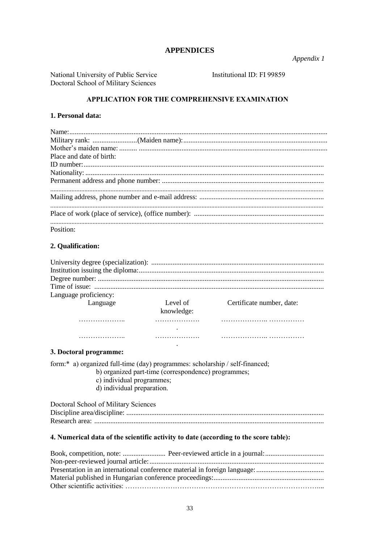### **APPENDICES**

Appendix 1

National University of Public Service Doctoral School of Military Sciences

Institutional ID: FI 99859

### APPLICATION FOR THE COMPREHENSIVE EXAMINATION

#### 1. Personal data:

| Place and date of birth: |
|--------------------------|
|                          |
|                          |
|                          |
|                          |
|                          |
|                          |
|                          |
| Position:                |

### 2. Qualification:

| Language proficiency: |                        |                           |
|-----------------------|------------------------|---------------------------|
| Language              | Level of<br>knowledge: | Certificate number, date: |
|                       |                        |                           |
|                       |                        |                           |
|                       |                        |                           |
|                       |                        |                           |

### 3. Doctoral programme:

form:\* a) organized full-time (day) programmes: scholarship / self-financed;

- b) organized part-time (correspondence) programmes;
	- c) individual programmes;
	- $\overrightarrow{d}$ ) individual preparation.

| Doctoral School of Military Sciences |
|--------------------------------------|
|                                      |
|                                      |

### 4. Numerical data of the scientific activity to date (according to the score table):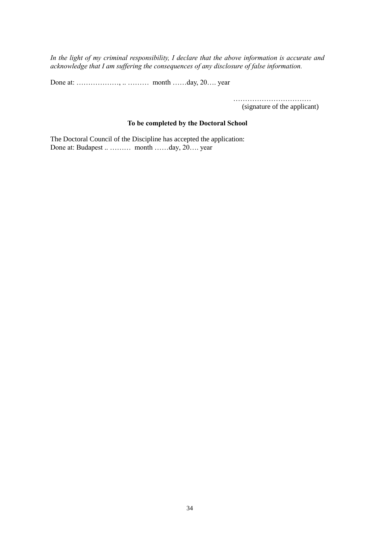*In the light of my criminal responsibility, I declare that the above information is accurate and acknowledge that I am suffering the consequences of any disclosure of false information.*

Done at: ………………, .. ……… month ……day, 20…. year

…………………………………

(signature of the applicant)

### **To be completed by the Doctoral School**

The Doctoral Council of the Discipline has accepted the application: Done at: Budapest .. ……… month ……day, 20…. year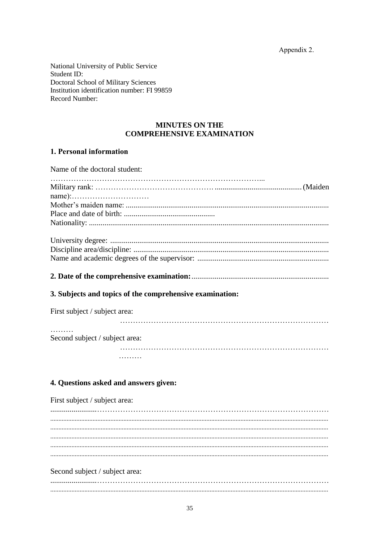Appendix 2.

National University of Public Service Student ID: **Doctoral School of Military Sciences** Institution identification number: FI 99859 Record Number

### **MINUTES ON THE COMPREHENSIVE EXAMINATION**

### 1. Personal information

Name of the doctoral student: 3. Subjects and topics of the comprehensive examination: First subject / subject area: Second subject / subject area: . . . . . . . . . 4. Questions asked and answers given: First subject / subject area: 

Second subject / subject area: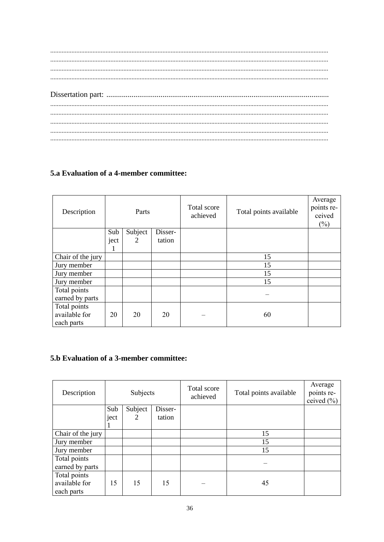### 5.a Evaluation of a 4-member committee:

| Description       | Parts |         | Total score<br>achieved | Total points available | Average<br>points re-<br>ceived<br>(%) |  |
|-------------------|-------|---------|-------------------------|------------------------|----------------------------------------|--|
|                   | Sub   | Subject | Disser-                 |                        |                                        |  |
|                   | ject  | 2       | tation                  |                        |                                        |  |
|                   |       |         |                         |                        |                                        |  |
| Chair of the jury |       |         |                         |                        | 15                                     |  |
| Jury member       |       |         |                         |                        | 15                                     |  |
| Jury member       |       |         |                         |                        | 15                                     |  |
| Jury member       |       |         |                         |                        | 15                                     |  |
| Total points      |       |         |                         |                        |                                        |  |
| earned by parts   |       |         |                         |                        |                                        |  |
| Total points      |       |         |                         |                        |                                        |  |
| available for     | 20    | 20      | 20                      |                        | 60                                     |  |
| each parts        |       |         |                         |                        |                                        |  |

### 5.b Evaluation of a 3-member committee:

| Description       | Subjects |         | Total score<br>achieved | Total points available | Average<br>points re-<br>ceived $(\% )$ |  |
|-------------------|----------|---------|-------------------------|------------------------|-----------------------------------------|--|
|                   | Sub      | Subject | Disser-                 |                        |                                         |  |
|                   | ject     | 2       | tation                  |                        |                                         |  |
|                   | -1       |         |                         |                        |                                         |  |
| Chair of the jury |          |         |                         |                        | 15                                      |  |
| Jury member       |          |         |                         |                        | 15                                      |  |
| Jury member       |          |         |                         |                        | 15                                      |  |
| Total points      |          |         |                         |                        |                                         |  |
| earned by parts   |          |         |                         |                        |                                         |  |
| Total points      |          |         |                         |                        |                                         |  |
| available for     | 15       | 15      | 15                      |                        | 45                                      |  |
| each parts        |          |         |                         |                        |                                         |  |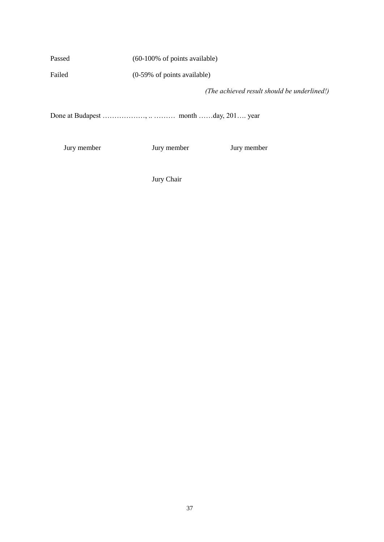Passed (60-100% of points available)

Failed (0-59% of points available)

*(The achieved result should be underlined!)*

Done at Budapest ………………, .. ……… month ……day, 201.... year

Jury member Jury member Jury member

Jury Chair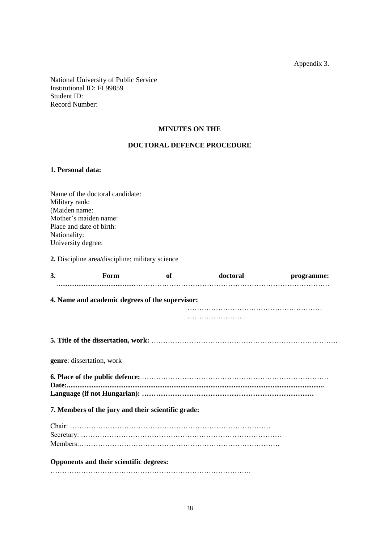Appendix 3.

National University of Public Service Institutional ID: FI 99859 Student ID: Record Number:

### **MINUTES ON THE**

### **DOCTORAL DEFENCE PROCEDURE**

### **1. Personal data:**

Name of the doctoral candidate: Military rank: (Maiden name: Mother's maiden name: Place and date of birth: Nationality: University degree:

**2.** Discipline area/discipline: military science

| 3. | Form                                               | of | doctoral | programme: |
|----|----------------------------------------------------|----|----------|------------|
|    | 4. Name and academic degrees of the supervisor:    |    |          |            |
|    |                                                    |    |          |            |
|    |                                                    |    |          |            |
|    | <b>genre:</b> dissertation, work                   |    |          |            |
|    |                                                    |    |          |            |
|    |                                                    |    |          |            |
|    | 7. Members of the jury and their scientific grade: |    |          |            |
|    |                                                    |    |          |            |
|    |                                                    |    |          |            |
|    |                                                    |    |          |            |
|    | Opponents and their scientific degrees:            |    |          |            |
|    |                                                    |    |          |            |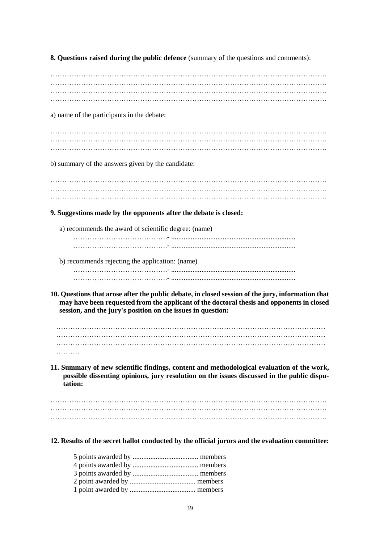**8. Questions raised during the public defence** (summary of the questions and comments):

……………………………………………………………………………………………………… ……………………………………………………………………………………………………… ……………………………………………………………………………………………………… ……………………………………………………………………………………………………… a) name of the participants in the debate: ……………………………………………………………………………………………………… ……………………………………………………………………………………………………… ……………………………………………………………………………………………………… b) summary of the answers given by the candidate: ……………………………………………………………………………………………………… ……………………………………………………………………………………………………… ……………………………………………………………………………………………………… **9. Suggestions made by the opponents after the debate is closed:** a) recommends the award of scientific degree: (name) ………………………………….- ...................................................................... ………………………………….- ...................................................................... b) recommends rejecting the application: (name) ………………………………….- ...................................................................... ………………………………….- ...................................................................... **10. Questions that arose after the public debate, in closed session of the jury, information that may have been requested from the applicant of the doctoral thesis and opponents in closed session, and the jury's position on the issues in question:** …………………………………………………………………………………………………… …………………………………………………………………………………………………… …………………………………………………………………………………………………… ……… **11. Summary of new scientific findings, content and methodological evaluation of the work, possible dissenting opinions, jury resolution on the issues discussed in the public disputation:** ……………………………………………………………………………………………………… ……………………………………………………………………………………………………… ……………………………………………………………………………………………………… **12. Results of the secret ballot conducted by the official jurors and the evaluation committee:**  5 points awarded by ..................................... members